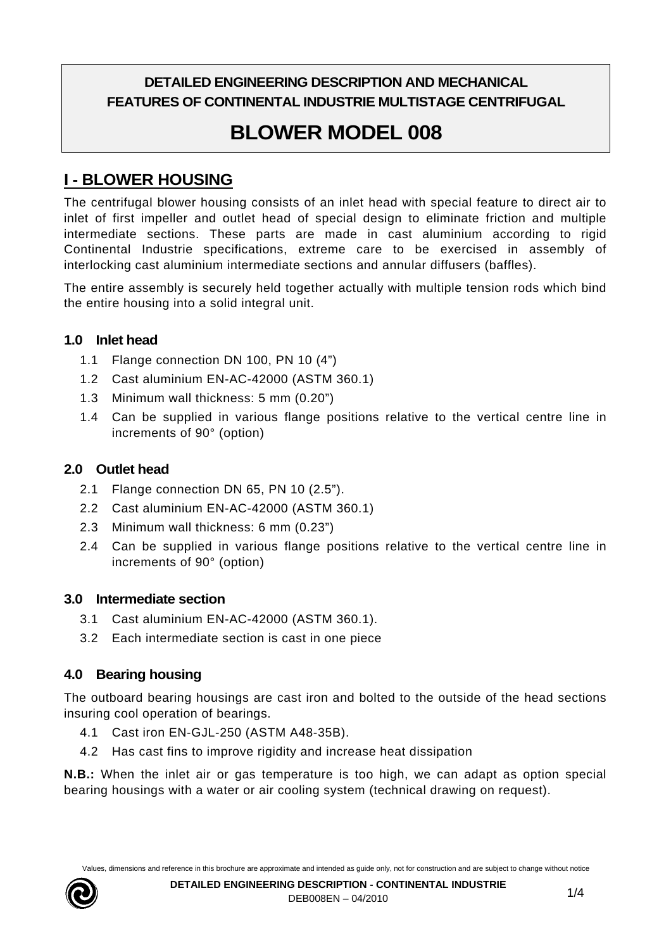# **DETAILED ENGINEERING DESCRIPTION AND MECHANICAL FEATURES OF CONTINENTAL INDUSTRIE MULTISTAGE CENTRIFUGAL**

# **BLOWER MODEL 008**

# **I - BLOWER HOUSING**

The centrifugal blower housing consists of an inlet head with special feature to direct air to inlet of first impeller and outlet head of special design to eliminate friction and multiple intermediate sections. These parts are made in cast aluminium according to rigid Continental Industrie specifications, extreme care to be exercised in assembly of interlocking cast aluminium intermediate sections and annular diffusers (baffles).

The entire assembly is securely held together actually with multiple tension rods which bind the entire housing into a solid integral unit.

#### **1.0 Inlet head**

- 1.1 Flange connection DN 100, PN 10 (4")
- 1.2 Cast aluminium EN-AC-42000 (ASTM 360.1)
- 1.3 Minimum wall thickness: 5 mm (0.20")
- 1.4 Can be supplied in various flange positions relative to the vertical centre line in increments of 90° (option)

# **2.0 Outlet head**

- 2.1 Flange connection DN 65, PN 10 (2.5").
- 2.2 Cast aluminium EN-AC-42000 (ASTM 360.1)
- 2.3 Minimum wall thickness: 6 mm (0.23")
- 2.4 Can be supplied in various flange positions relative to the vertical centre line in increments of 90° (option)

# **3.0 Intermediate section**

- 3.1 Cast aluminium EN-AC-42000 (ASTM 360.1).
- 3.2 Each intermediate section is cast in one piece

# **4.0 Bearing housing**

The outboard bearing housings are cast iron and bolted to the outside of the head sections insuring cool operation of bearings.

- 4.1 Cast iron EN-GJL-250 (ASTM A48-35B).
- 4.2 Has cast fins to improve rigidity and increase heat dissipation

**N.B.:** When the inlet air or gas temperature is too high, we can adapt as option special bearing housings with a water or air cooling system (technical drawing on request).

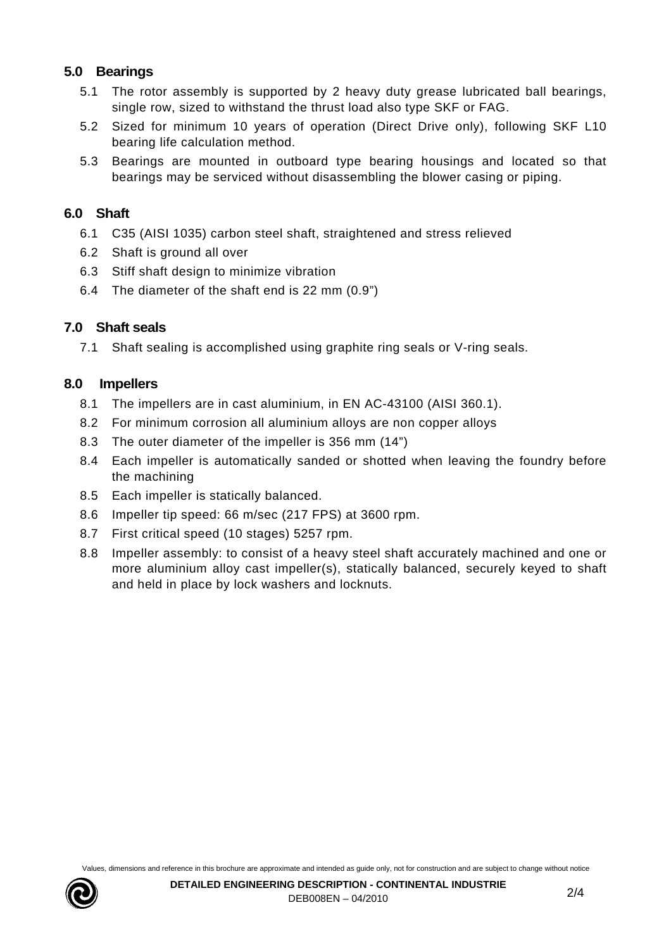#### **5.0 Bearings**

- 5.1 The rotor assembly is supported by 2 heavy duty grease lubricated ball bearings, single row, sized to withstand the thrust load also type SKF or FAG.
- 5.2 Sized for minimum 10 years of operation (Direct Drive only), following SKF L10 bearing life calculation method.
- 5.3 Bearings are mounted in outboard type bearing housings and located so that bearings may be serviced without disassembling the blower casing or piping.

#### **6.0 Shaft**

- 6.1 C35 (AISI 1035) carbon steel shaft, straightened and stress relieved
- 6.2 Shaft is ground all over
- 6.3 Stiff shaft design to minimize vibration
- 6.4 The diameter of the shaft end is 22 mm (0.9")

#### **7.0 Shaft seals**

7.1 Shaft sealing is accomplished using graphite ring seals or V-ring seals.

#### **8.0 Impellers**

- 8.1 The impellers are in cast aluminium, in EN AC-43100 (AISI 360.1).
- 8.2 For minimum corrosion all aluminium alloys are non copper alloys
- 8.3 The outer diameter of the impeller is 356 mm (14")
- 8.4 Each impeller is automatically sanded or shotted when leaving the foundry before the machining
- 8.5 Each impeller is statically balanced.
- 8.6 Impeller tip speed: 66 m/sec (217 FPS) at 3600 rpm.
- 8.7 First critical speed (10 stages) 5257 rpm.
- 8.8 Impeller assembly: to consist of a heavy steel shaft accurately machined and one or more aluminium alloy cast impeller(s), statically balanced, securely keyed to shaft and held in place by lock washers and locknuts.

Values, dimensions and reference in this brochure are approximate and intended as guide only, not for construction and are subject to change without notice

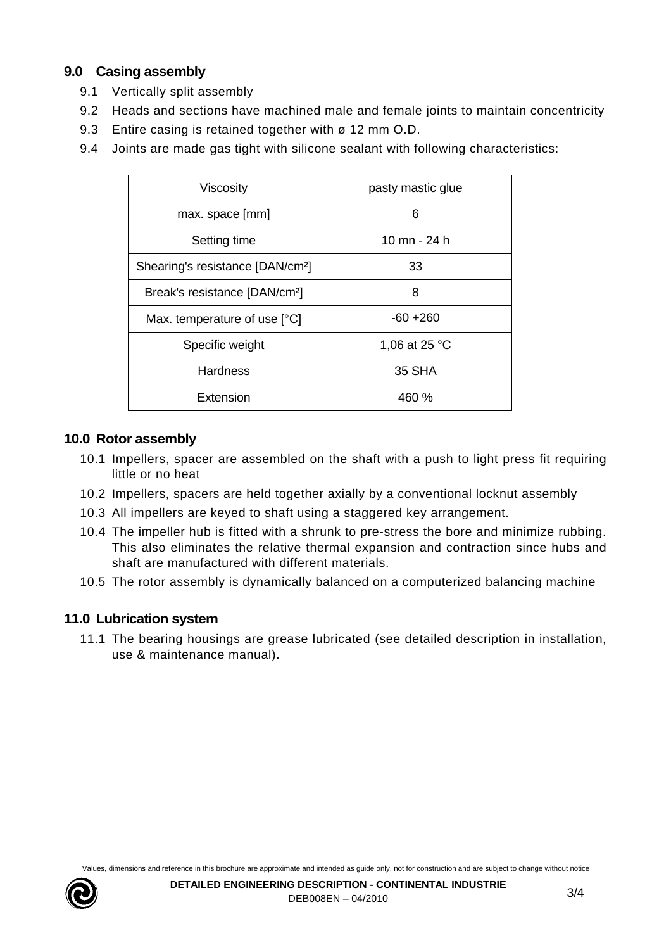# **9.0 Casing assembly**

- 9.1 Vertically split assembly
- 9.2 Heads and sections have machined male and female joints to maintain concentricity
- 9.3 Entire casing is retained together with ø 12 mm O.D.
- 9.4 Joints are made gas tight with silicone sealant with following characteristics:

| Viscosity                                    | pasty mastic glue |
|----------------------------------------------|-------------------|
| max. space [mm]                              | 6                 |
| Setting time                                 | 10 mn - 24 h      |
| Shearing's resistance [DAN/cm <sup>2</sup> ] | 33                |
| Break's resistance [DAN/cm <sup>2</sup> ]    | 8                 |
| Max. temperature of use [°C]                 | $-60 + 260$       |
| Specific weight                              | 1,06 at 25 °C     |
| <b>Hardness</b>                              | 35 SHA            |
| Extension                                    | 460 %             |

# **10.0 Rotor assembly**

- 10.1 Impellers, spacer are assembled on the shaft with a push to light press fit requiring little or no heat
- 10.2 Impellers, spacers are held together axially by a conventional locknut assembly
- 10.3 All impellers are keyed to shaft using a staggered key arrangement.
- 10.4 The impeller hub is fitted with a shrunk to pre-stress the bore and minimize rubbing. This also eliminates the relative thermal expansion and contraction since hubs and shaft are manufactured with different materials.
- 10.5 The rotor assembly is dynamically balanced on a computerized balancing machine

# **11.0 Lubrication system**

11.1 The bearing housings are grease lubricated (see detailed description in installation, use & maintenance manual).